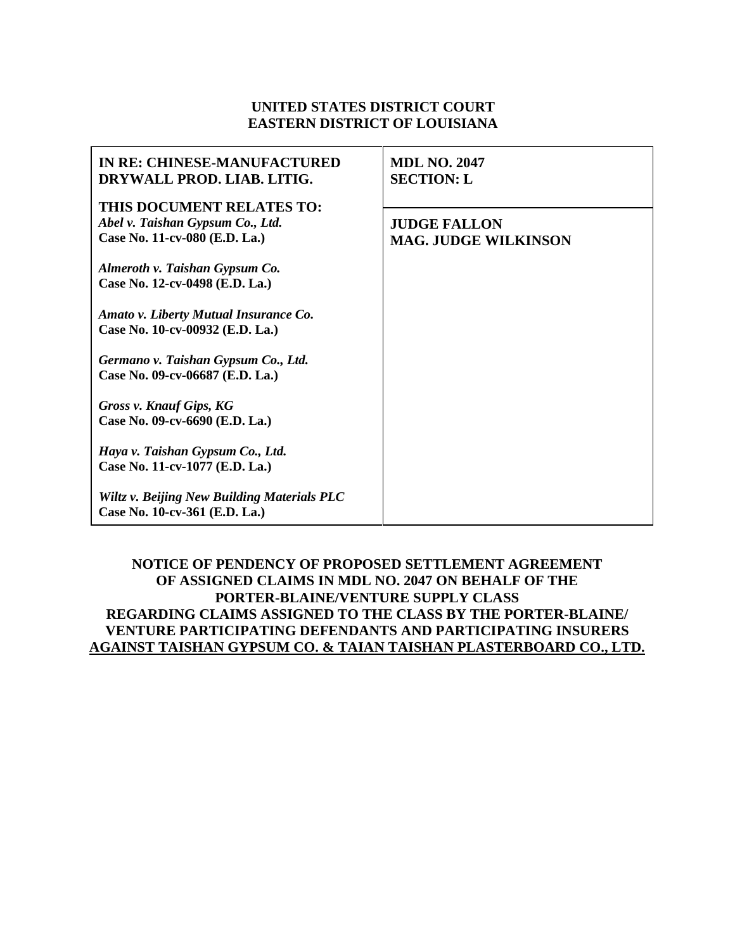# **UNITED STATES DISTRICT COURT EASTERN DISTRICT OF LOUISIANA**

| <b>IN RE: CHINESE-MANUFACTURED</b><br>DRYWALL PROD. LIAB. LITIG.                               | <b>MDL NO. 2047</b><br><b>SECTION: L</b>           |
|------------------------------------------------------------------------------------------------|----------------------------------------------------|
| THIS DOCUMENT RELATES TO:<br>Abel v. Taishan Gypsum Co., Ltd.<br>Case No. 11-cv-080 (E.D. La.) | <b>JUDGE FALLON</b><br><b>MAG. JUDGE WILKINSON</b> |
| Almeroth v. Taishan Gypsum Co.<br>Case No. 12-cv-0498 (E.D. La.)                               |                                                    |
| Amato v. Liberty Mutual Insurance Co.<br>Case No. 10-cv-00932 (E.D. La.)                       |                                                    |
| Germano v. Taishan Gypsum Co., Ltd.<br>Case No. 09-cv-06687 (E.D. La.)                         |                                                    |
| Gross v. Knauf Gips, KG<br>Case No. 09-cv-6690 (E.D. La.)                                      |                                                    |
| Haya v. Taishan Gypsum Co., Ltd.<br>Case No. 11-cv-1077 (E.D. La.)                             |                                                    |
| Wiltz v. Beijing New Building Materials PLC<br>Case No. 10-cv-361 (E.D. La.)                   |                                                    |

### **NOTICE OF PENDENCY OF PROPOSED SETTLEMENT AGREEMENT OF ASSIGNED CLAIMS IN MDL NO. 2047 ON BEHALF OF THE PORTER-BLAINE/VENTURE SUPPLY CLASS REGARDING CLAIMS ASSIGNED TO THE CLASS BY THE PORTER-BLAINE/ VENTURE PARTICIPATING DEFENDANTS AND PARTICIPATING INSURERS AGAINST TAISHAN GYPSUM CO. & TAIAN TAISHAN PLASTERBOARD CO., LTD.**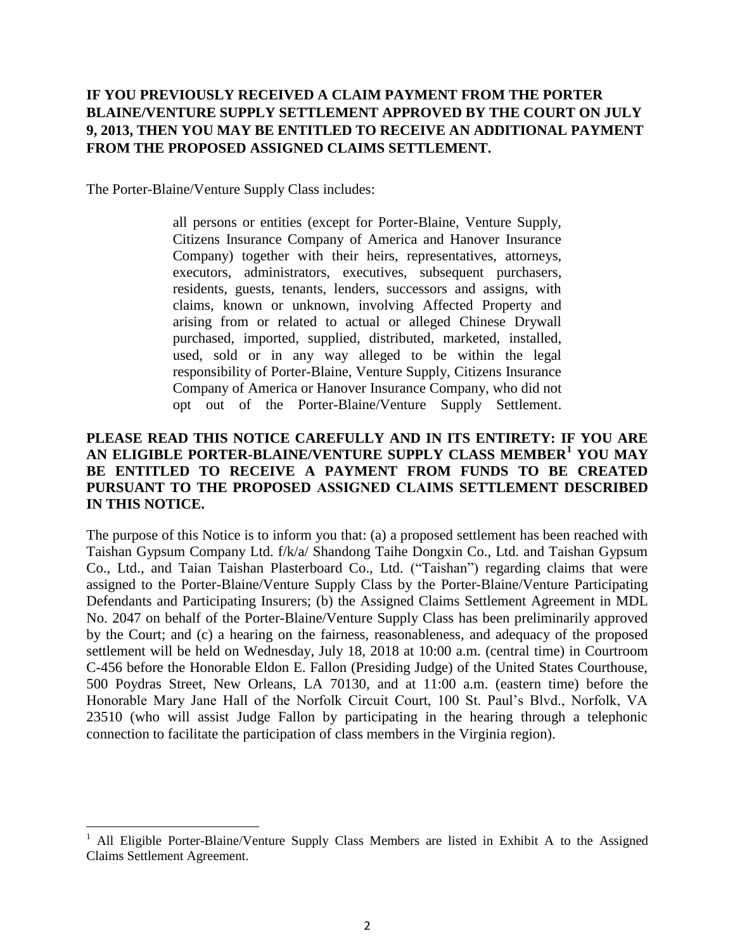# **IF YOU PREVIOUSLY RECEIVED A CLAIM PAYMENT FROM THE PORTER BLAINE/VENTURE SUPPLY SETTLEMENT APPROVED BY THE COURT ON JULY 9, 2013, THEN YOU MAY BE ENTITLED TO RECEIVE AN ADDITIONAL PAYMENT FROM THE PROPOSED ASSIGNED CLAIMS SETTLEMENT.**

The Porter-Blaine/Venture Supply Class includes:

 $\overline{\phantom{a}}$ 

all persons or entities (except for Porter-Blaine, Venture Supply, Citizens Insurance Company of America and Hanover Insurance Company) together with their heirs, representatives, attorneys, executors, administrators, executives, subsequent purchasers, residents, guests, tenants, lenders, successors and assigns, with claims, known or unknown, involving Affected Property and arising from or related to actual or alleged Chinese Drywall purchased, imported, supplied, distributed, marketed, installed, used, sold or in any way alleged to be within the legal responsibility of Porter-Blaine, Venture Supply, Citizens Insurance Company of America or Hanover Insurance Company, who did not opt out of the Porter-Blaine/Venture Supply Settlement.

### **PLEASE READ THIS NOTICE CAREFULLY AND IN ITS ENTIRETY: IF YOU ARE AN ELIGIBLE PORTER-BLAINE/VENTURE SUPPLY CLASS MEMBER<sup>1</sup> YOU MAY BE ENTITLED TO RECEIVE A PAYMENT FROM FUNDS TO BE CREATED PURSUANT TO THE PROPOSED ASSIGNED CLAIMS SETTLEMENT DESCRIBED IN THIS NOTICE.**

The purpose of this Notice is to inform you that: (a) a proposed settlement has been reached with Taishan Gypsum Company Ltd. f/k/a/ Shandong Taihe Dongxin Co., Ltd. and Taishan Gypsum Co., Ltd., and Taian Taishan Plasterboard Co., Ltd. ("Taishan") regarding claims that were assigned to the Porter-Blaine/Venture Supply Class by the Porter-Blaine/Venture Participating Defendants and Participating Insurers; (b) the Assigned Claims Settlement Agreement in MDL No. 2047 on behalf of the Porter-Blaine/Venture Supply Class has been preliminarily approved by the Court; and (c) a hearing on the fairness, reasonableness, and adequacy of the proposed settlement will be held on Wednesday, July 18, 2018 at 10:00 a.m. (central time) in Courtroom C-456 before the Honorable Eldon E. Fallon (Presiding Judge) of the United States Courthouse, 500 Poydras Street, New Orleans, LA 70130, and at 11:00 a.m. (eastern time) before the Honorable Mary Jane Hall of the Norfolk Circuit Court, 100 St. Paul's Blvd., Norfolk, VA 23510 (who will assist Judge Fallon by participating in the hearing through a telephonic connection to facilitate the participation of class members in the Virginia region).

<sup>&</sup>lt;sup>1</sup> All Eligible Porter-Blaine/Venture Supply Class Members are listed in Exhibit A to the Assigned Claims Settlement Agreement.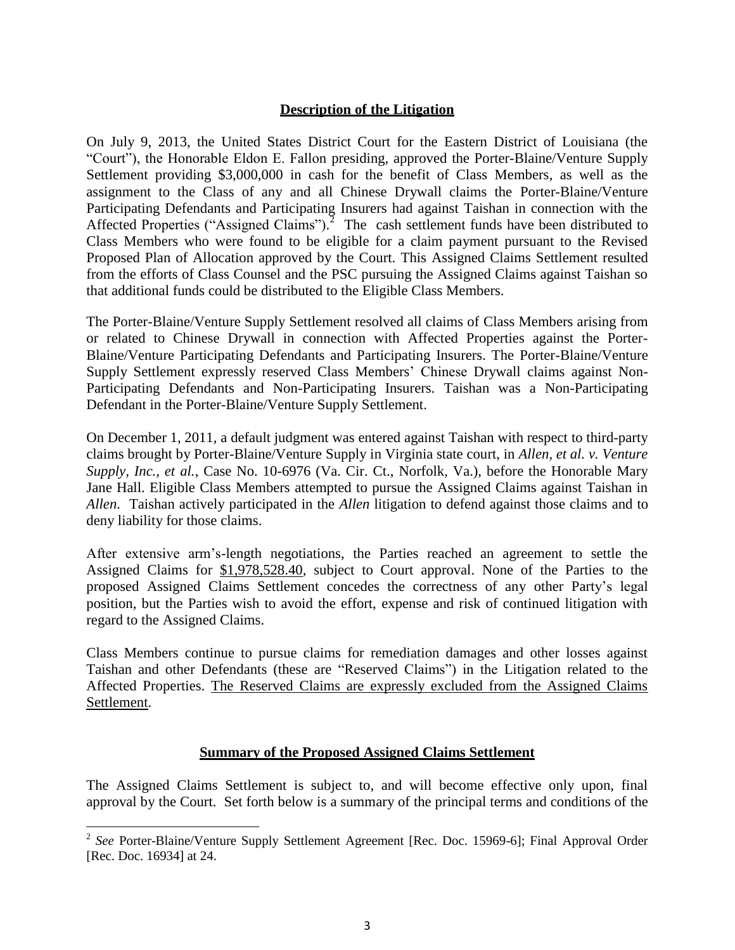### **Description of the Litigation**

On July 9, 2013, the United States District Court for the Eastern District of Louisiana (the "Court"), the Honorable Eldon E. Fallon presiding, approved the Porter-Blaine/Venture Supply Settlement providing \$3,000,000 in cash for the benefit of Class Members, as well as the assignment to the Class of any and all Chinese Drywall claims the Porter-Blaine/Venture Participating Defendants and Participating Insurers had against Taishan in connection with the Affected Properties ("Assigned Claims").<sup>2</sup> The cash settlement funds have been distributed to Class Members who were found to be eligible for a claim payment pursuant to the Revised Proposed Plan of Allocation approved by the Court. This Assigned Claims Settlement resulted from the efforts of Class Counsel and the PSC pursuing the Assigned Claims against Taishan so that additional funds could be distributed to the Eligible Class Members.

The Porter-Blaine/Venture Supply Settlement resolved all claims of Class Members arising from or related to Chinese Drywall in connection with Affected Properties against the Porter-Blaine/Venture Participating Defendants and Participating Insurers. The Porter-Blaine/Venture Supply Settlement expressly reserved Class Members' Chinese Drywall claims against Non-Participating Defendants and Non-Participating Insurers. Taishan was a Non-Participating Defendant in the Porter-Blaine/Venture Supply Settlement.

On December 1, 2011, a default judgment was entered against Taishan with respect to third-party claims brought by Porter-Blaine/Venture Supply in Virginia state court, in *Allen, et al. v. Venture Supply, Inc., et al.*, Case No. 10-6976 (Va. Cir. Ct., Norfolk, Va.), before the Honorable Mary Jane Hall. Eligible Class Members attempted to pursue the Assigned Claims against Taishan in *Allen*. Taishan actively participated in the *Allen* litigation to defend against those claims and to deny liability for those claims.

After extensive arm's-length negotiations, the Parties reached an agreement to settle the Assigned Claims for \$1,978,528.40, subject to Court approval. None of the Parties to the proposed Assigned Claims Settlement concedes the correctness of any other Party's legal position, but the Parties wish to avoid the effort, expense and risk of continued litigation with regard to the Assigned Claims.

Class Members continue to pursue claims for remediation damages and other losses against Taishan and other Defendants (these are "Reserved Claims") in the Litigation related to the Affected Properties. The Reserved Claims are expressly excluded from the Assigned Claims Settlement.

### **Summary of the Proposed Assigned Claims Settlement**

The Assigned Claims Settlement is subject to, and will become effective only upon, final approval by the Court. Set forth below is a summary of the principal terms and conditions of the

 $\overline{\phantom{a}}$ 

<sup>&</sup>lt;sup>2</sup> See Porter-Blaine/Venture Supply Settlement Agreement [Rec. Doc. 15969-6]; Final Approval Order [Rec. Doc. 16934] at 24.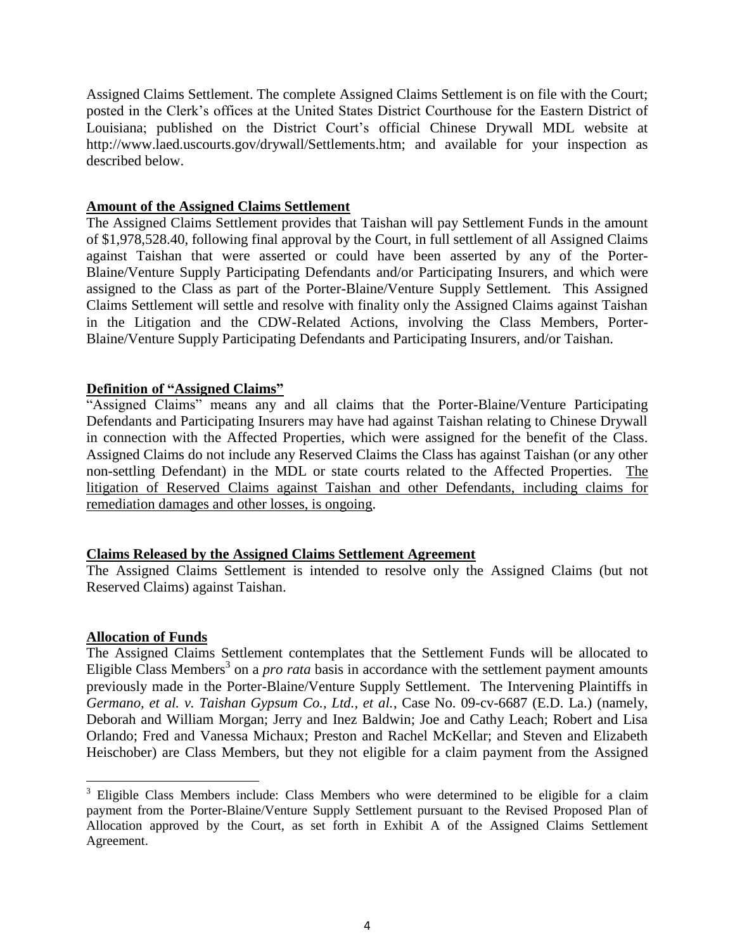Assigned Claims Settlement. The complete Assigned Claims Settlement is on file with the Court; posted in the Clerk's offices at the United States District Courthouse for the Eastern District of Louisiana; published on the District Court's official Chinese Drywall MDL website a[t](http://www.laed.uscourts.gov/drywall/Settlements.htm%3B) [http://www.laed.uscourts.gov/drywall/Settlements.htm;](http://www.laed.uscourts.gov/drywall/Settlements.htm%3B) and available for your inspection as described below.

#### **Amount of the Assigned Claims Settlement**

The Assigned Claims Settlement provides that Taishan will pay Settlement Funds in the amount of \$1,978,528.40, following final approval by the Court, in full settlement of all Assigned Claims against Taishan that were asserted or could have been asserted by any of the Porter-Blaine/Venture Supply Participating Defendants and/or Participating Insurers, and which were assigned to the Class as part of the Porter-Blaine/Venture Supply Settlement*.* This Assigned Claims Settlement will settle and resolve with finality only the Assigned Claims against Taishan in the Litigation and the CDW-Related Actions, involving the Class Members, Porter-Blaine/Venture Supply Participating Defendants and Participating Insurers, and/or Taishan.

### **Definition of "Assigned Claims"**

"Assigned Claims" means any and all claims that the Porter-Blaine/Venture Participating Defendants and Participating Insurers may have had against Taishan relating to Chinese Drywall in connection with the Affected Properties, which were assigned for the benefit of the Class. Assigned Claims do not include any Reserved Claims the Class has against Taishan (or any other non-settling Defendant) in the MDL or state courts related to the Affected Properties. The litigation of Reserved Claims against Taishan and other Defendants, including claims for remediation damages and other losses, is ongoing.

### **Claims Released by the Assigned Claims Settlement Agreement**

The Assigned Claims Settlement is intended to resolve only the Assigned Claims (but not Reserved Claims) against Taishan.

### **Allocation of Funds**

 $\overline{\phantom{a}}$ 

The Assigned Claims Settlement contemplates that the Settlement Funds will be allocated to Eligible Class Members<sup>3</sup> on a *pro rata* basis in accordance with the settlement payment amounts previously made in the Porter-Blaine/Venture Supply Settlement. The Intervening Plaintiffs in *Germano, et al. v. Taishan Gypsum Co., Ltd., et al.*, Case No. 09-cv-6687 (E.D. La.) (namely, Deborah and William Morgan; Jerry and Inez Baldwin; Joe and Cathy Leach; Robert and Lisa Orlando; Fred and Vanessa Michaux; Preston and Rachel McKellar; and Steven and Elizabeth Heischober) are Class Members, but they not eligible for a claim payment from the Assigned

 $3$  Eligible Class Members include: Class Members who were determined to be eligible for a claim payment from the Porter-Blaine/Venture Supply Settlement pursuant to the Revised Proposed Plan of Allocation approved by the Court, as set forth in Exhibit A of the Assigned Claims Settlement Agreement.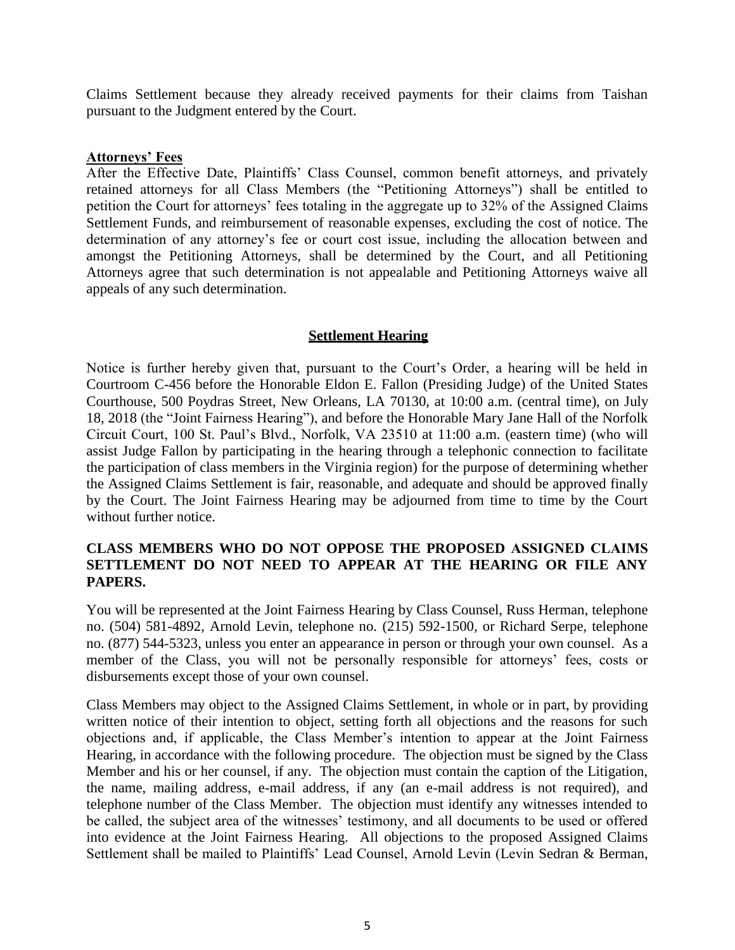Claims Settlement because they already received payments for their claims from Taishan pursuant to the Judgment entered by the Court.

#### **Attorneys' Fees**

After the Effective Date, Plaintiffs' Class Counsel, common benefit attorneys, and privately retained attorneys for all Class Members (the "Petitioning Attorneys") shall be entitled to petition the Court for attorneys' fees totaling in the aggregate up to 32% of the Assigned Claims Settlement Funds, and reimbursement of reasonable expenses, excluding the cost of notice. The determination of any attorney's fee or court cost issue, including the allocation between and amongst the Petitioning Attorneys, shall be determined by the Court, and all Petitioning Attorneys agree that such determination is not appealable and Petitioning Attorneys waive all appeals of any such determination.

### **Settlement Hearing**

Notice is further hereby given that, pursuant to the Court's Order, a hearing will be held in Courtroom C-456 before the Honorable Eldon E. Fallon (Presiding Judge) of the United States Courthouse, 500 Poydras Street, New Orleans, LA 70130, at 10:00 a.m. (central time), on July 18, 2018 (the "Joint Fairness Hearing"), and before the Honorable Mary Jane Hall of the Norfolk Circuit Court, 100 St. Paul's Blvd., Norfolk, VA 23510 at 11:00 a.m. (eastern time) (who will assist Judge Fallon by participating in the hearing through a telephonic connection to facilitate the participation of class members in the Virginia region) for the purpose of determining whether the Assigned Claims Settlement is fair, reasonable, and adequate and should be approved finally by the Court. The Joint Fairness Hearing may be adjourned from time to time by the Court without further notice.

### **CLASS MEMBERS WHO DO NOT OPPOSE THE PROPOSED ASSIGNED CLAIMS SETTLEMENT DO NOT NEED TO APPEAR AT THE HEARING OR FILE ANY PAPERS.**

You will be represented at the Joint Fairness Hearing by Class Counsel, Russ Herman, telephone no. (504) 581-4892, Arnold Levin, telephone no. (215) 592-1500, or Richard Serpe, telephone no. (877) 544-5323, unless you enter an appearance in person or through your own counsel. As a member of the Class, you will not be personally responsible for attorneys' fees, costs or disbursements except those of your own counsel.

Class Members may object to the Assigned Claims Settlement, in whole or in part, by providing written notice of their intention to object, setting forth all objections and the reasons for such objections and, if applicable, the Class Member's intention to appear at the Joint Fairness Hearing, in accordance with the following procedure. The objection must be signed by the Class Member and his or her counsel, if any. The objection must contain the caption of the Litigation, the name, mailing address, e-mail address, if any (an e-mail address is not required), and telephone number of the Class Member. The objection must identify any witnesses intended to be called, the subject area of the witnesses' testimony, and all documents to be used or offered into evidence at the Joint Fairness Hearing. All objections to the proposed Assigned Claims Settlement shall be mailed to Plaintiffs' Lead Counsel, Arnold Levin (Levin Sedran & Berman,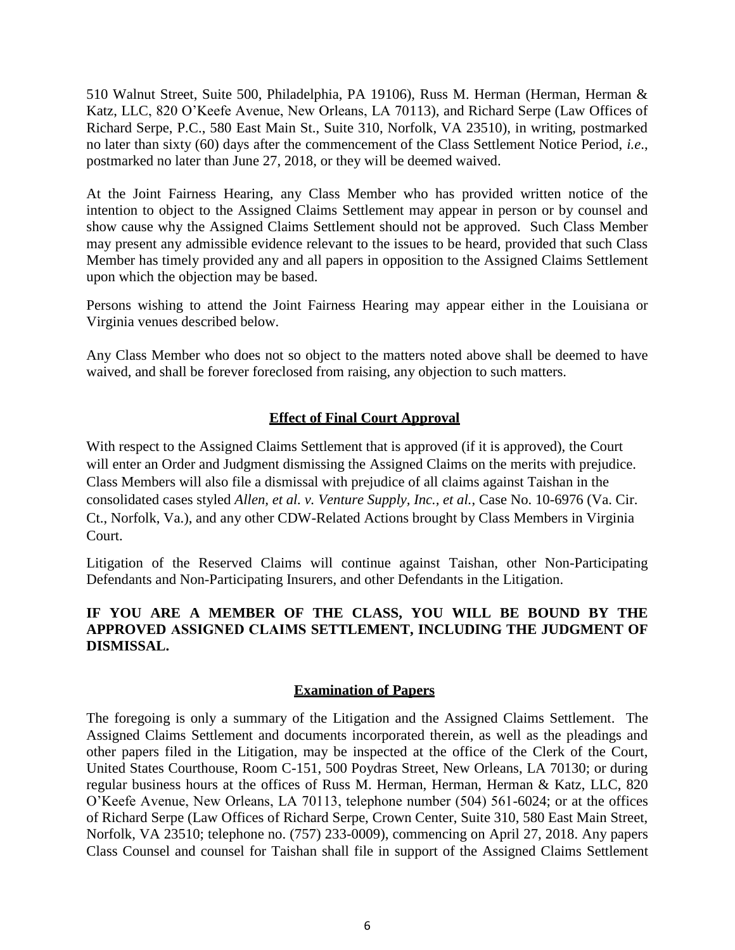510 Walnut Street, Suite 500, Philadelphia, PA 19106), Russ M. Herman (Herman, Herman & Katz, LLC, 820 O'Keefe Avenue, New Orleans, LA 70113), and Richard Serpe (Law Offices of Richard Serpe, P.C., 580 East Main St., Suite 310, Norfolk, VA 23510), in writing, postmarked no later than sixty (60) days after the commencement of the Class Settlement Notice Period, *i.e*., postmarked no later than June 27, 2018, or they will be deemed waived.

At the Joint Fairness Hearing, any Class Member who has provided written notice of the intention to object to the Assigned Claims Settlement may appear in person or by counsel and show cause why the Assigned Claims Settlement should not be approved. Such Class Member may present any admissible evidence relevant to the issues to be heard, provided that such Class Member has timely provided any and all papers in opposition to the Assigned Claims Settlement upon which the objection may be based.

Persons wishing to attend the Joint Fairness Hearing may appear either in the Louisiana or Virginia venues described below.

Any Class Member who does not so object to the matters noted above shall be deemed to have waived, and shall be forever foreclosed from raising, any objection to such matters.

## **Effect of Final Court Approval**

With respect to the Assigned Claims Settlement that is approved (if it is approved), the Court will enter an Order and Judgment dismissing the Assigned Claims on the merits with prejudice. Class Members will also file a dismissal with prejudice of all claims against Taishan in the consolidated cases styled *Allen, et al. v. Venture Supply, Inc., et al.*, Case No. 10-6976 (Va. Cir. Ct., Norfolk, Va.), and any other CDW-Related Actions brought by Class Members in Virginia Court.

Litigation of the Reserved Claims will continue against Taishan, other Non-Participating Defendants and Non-Participating Insurers, and other Defendants in the Litigation.

## **IF YOU ARE A MEMBER OF THE CLASS, YOU WILL BE BOUND BY THE APPROVED ASSIGNED CLAIMS SETTLEMENT, INCLUDING THE JUDGMENT OF DISMISSAL.**

### **Examination of Papers**

The foregoing is only a summary of the Litigation and the Assigned Claims Settlement. The Assigned Claims Settlement and documents incorporated therein, as well as the pleadings and other papers filed in the Litigation, may be inspected at the office of the Clerk of the Court, United States Courthouse, Room C-151, 500 Poydras Street, New Orleans, LA 70130; or during regular business hours at the offices of Russ M. Herman, Herman, Herman & Katz, LLC, 820 O'Keefe Avenue, New Orleans, LA 70113, telephone number (504) 561-6024; or at the offices of Richard Serpe (Law Offices of Richard Serpe, Crown Center, Suite 310, 580 East Main Street, Norfolk, VA 23510; telephone no. (757) 233-0009), commencing on April 27, 2018. Any papers Class Counsel and counsel for Taishan shall file in support of the Assigned Claims Settlement